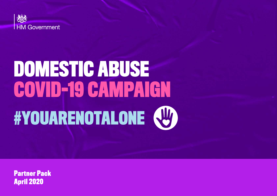

# **DOMESTIC ABUSE COVID-19 CAMPAIGN #YOUARENOTALONE**

**Partner Pack April 2020**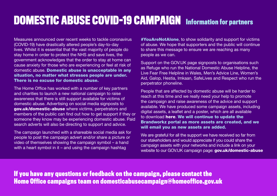### **DOMESTIC ABUSE COVID-19 CAMPAIGN Information for partners**

Measures announced over recent weeks to tackle coronavirus (COVID-19) have drastically altered people's day-to-day lives. Whilst it is essential that the vast majority of people do stay home in order to protect the NHS and save lives, the government acknowledges that the order to stay at home can cause anxiety for those who are experiencing or feel at risk of domestic abuse. Domestic abuse is unacceptable in any situation, no matter what stresses people are under. There is no excuse for domestic abuse.

The Home Office has worked with a number of key partners and charities to launch a new national campaign to raise awareness that there is still support available for victims of domestic abuse. Advertising on social media signposts to [gov.uk/domestic-abuse](http://gov.uk/domestic-abuse) where victims, perpetrators and members of the public can find out how to get support if they or someone they know may be experiencing domestic abuse. Paid search adverts will also be directing to support and advice.

The campaign launched with a shareable social media ask for people to post the campaign advert and/or share a picture or video of themselves showing the campaign symbol – a hand with a heart symbol in it – and using the campaign hashtag

**#YouAreNotAlone, to show solidarity and support for victims** of abuse. We hope that supporters and the public will continue to share this message to ensure we are reaching as many people as we can.

Support on the GOV.UK page signposts to organisations such as Refuge who run the National Domestic Abuse Helpline, the Live Fear Free Helpline in Wales, Men's Advice Line, Women's Aid, Galop, Hestia, Imkaan, SafeLives and Respect who run the perpetrator phoneline.

People that are affected by domestic abuse will be harder to reach at this time and we really need your help to promote the campaign and raise awareness of the advice and support available. We have produced some campaign assets, including digital assets, a leaflet and a poster, which are all available to download [here](https://homeoffice.brandworkz.com/bms/?link=C8381A71). We will continue to update the Brandworkz portal as more assets are created, and we will email you as new assets are added.

We are grateful for all the support we have received so far from our stakeholders and would appreciate if you could share the campaign assets with your networks and include a link on your website to our GOV.UK campaign page: gov.uk/domestic-abuse

**If you have any questions or feedback on the campaign, please contact the Home Office campaigns team on domesticabusecampaign@homeoffice.gov.uk**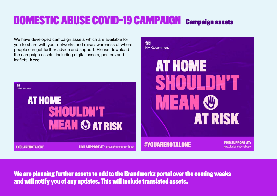# **DOMESTIC ABUSE COVID-19 CAMPAIGN Campaign assets**

機

**HM Government** 

We have developed campaign assets which are available for you to share with your networks and raise awareness of where people can get further advice and support. Please download the campaign assets, including digital assets, posters and leaflets, [here](https://homeoffice.brandworkz.com/bms/?link=C8381A71).



**We are planning further assets to add to the Brandworkz portal over the coming weeks and will notify you of any updates. This will include translated assets.**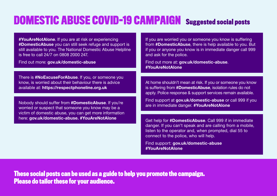# **DOMESTIC ABUSE COVID-19 CAMPAIGN Suggested social posts**

**#YouAreNotAlone.** If you are at risk or experiencing #DomesticAbuse you can still seek refuge and support is still available to you. The National Domestic Abuse Helpline is free to call 24/7 on 0808 2000 247.

Find out more: gov.uk/domestic-abuse

There is **#NoExcuseForAbuse**. If you, or someone you know, is worried about their behaviour there is advice available at: https://respectphoneline.org.uk

Nobody should suffer from #DomesticAbuse. If you're worried or suspect that someone you know may be a victim of domestic abuse, you can get more information here: gov.uk/domestic-abuse. #YouAreNotAlone

If you are worried you or someone you know is suffering from #DomesticAbuse, there is help available to you. But if you or anyone you know is in immediate danger call 999 and ask for the police.

Find out more at: gov.uk/domestic-abuse. #YouAreNotAlone

At home shouldn't mean at risk. If you or someone you know is suffering from **#DomesticAbuse**, isolation rules do not apply. Police response & support services remain available.

Find support at gov.uk/domestic-abuse or call 999 if you are in immediate danger. #YouAreNotAlone

Get help for #DomesticAbuse. Call 999 if in immediate danger. If you can't speak and are calling from a mobile, listen to the operator and, when prompted, dial 55 to connect to the police, who will help.

Find support: gov.uk/domestic-abuse #YouAreNotAlone

**These social posts can be used as a guide to help you promote the campaign. Please do tailor these for your audience.**